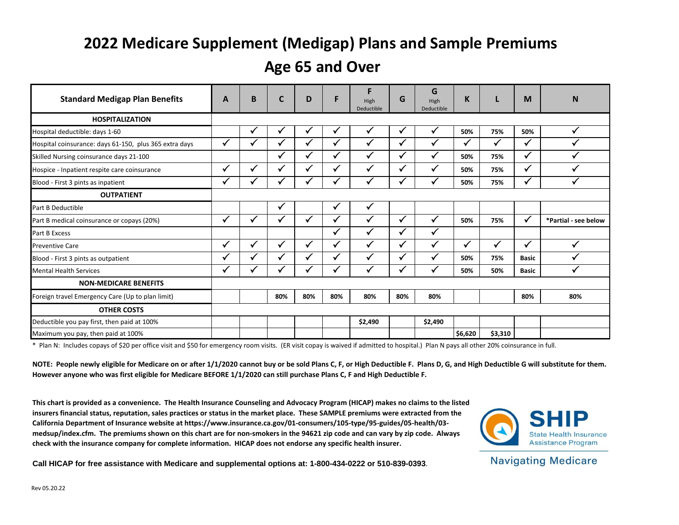# **2022 Medicare Supplement (Medigap) Plans and Sample Premiums**

# **Age 65 and Over**

| <b>Standard Medigap Plan Benefits</b>                  | A            | B | $\mathsf{C}$ | D            | F            | F<br>High<br>Deductible | G            | G<br>High<br>Deductible | K            |              | M            | N                    |
|--------------------------------------------------------|--------------|---|--------------|--------------|--------------|-------------------------|--------------|-------------------------|--------------|--------------|--------------|----------------------|
| <b>HOSPITALIZATION</b>                                 |              |   |              |              |              |                         |              |                         |              |              |              |                      |
| Hospital deductible: days 1-60                         |              | ✔ | √            | v            | ✔            | ✓                       | $\sqrt{ }$   | ✓                       | 50%          | 75%          | 50%          | $\checkmark$         |
| Hospital coinsurance: days 61-150, plus 365 extra days | $\checkmark$ |   | $\checkmark$ | $\checkmark$ | $\checkmark$ | ✓                       | $\checkmark$ | $\checkmark$            | $\checkmark$ | ✓            | ✓            | $\checkmark$         |
| Skilled Nursing coinsurance days 21-100                |              |   | $\checkmark$ | ✓            | ✓            | $\checkmark$            | $\checkmark$ | ✓                       | 50%          | 75%          | $\checkmark$ |                      |
| Hospice - Inpatient respite care coinsurance           | $\checkmark$ |   | √            | ✓            | ✔            | $\checkmark$            | $\checkmark$ | ✓                       | 50%          | 75%          | ✓            |                      |
| Blood - First 3 pints as inpatient                     | ✓            |   |              |              |              | $\checkmark$            | $\checkmark$ | $\checkmark$            | 50%          | 75%          | $\checkmark$ |                      |
| <b>OUTPATIENT</b>                                      |              |   |              |              |              |                         |              |                         |              |              |              |                      |
| Part B Deductible                                      |              |   | ✔            |              | $\checkmark$ | $\checkmark$            |              |                         |              |              |              |                      |
| Part B medical coinsurance or copays (20%)             | $\checkmark$ |   | $\checkmark$ | ✓            | $\checkmark$ | $\checkmark$            | $\checkmark$ | ✓                       | 50%          | 75%          | $\checkmark$ | *Partial - see below |
| Part B Excess                                          |              |   |              |              | $\checkmark$ | $\checkmark$            | $\checkmark$ | ✓                       |              |              |              |                      |
| <b>Preventive Care</b>                                 | $\checkmark$ |   | $\checkmark$ | ✓            | ✓            | $\checkmark$            | $\checkmark$ | $\checkmark$            | ✓            | $\checkmark$ | $\checkmark$ |                      |
| Blood - First 3 pints as outpatient                    | √            |   | v            |              | √            | $\checkmark$            | $\checkmark$ | $\checkmark$            | 50%          | 75%          | <b>Basic</b> | v                    |
| <b>Mental Health Services</b>                          | $\checkmark$ |   |              |              | M            | $\checkmark$            | $\checkmark$ | $\checkmark$            | 50%          | 50%          | <b>Basic</b> | $\checkmark$         |
| <b>NON-MEDICARE BENEFITS</b>                           |              |   |              |              |              |                         |              |                         |              |              |              |                      |
| Foreign travel Emergency Care (Up to plan limit)       |              |   | 80%          | 80%          | 80%          | 80%                     | 80%          | 80%                     |              |              | 80%          | 80%                  |
| <b>OTHER COSTS</b>                                     |              |   |              |              |              |                         |              |                         |              |              |              |                      |
| Deductible you pay first, then paid at 100%            |              |   |              |              |              | \$2,490                 |              | \$2,490                 |              |              |              |                      |
| Maximum you pay, then paid at 100%                     |              |   |              |              |              |                         |              |                         | \$6,620      | \$3,310      |              |                      |

\* Plan N: Includes copays of \$20 per office visit and \$50 for emergency room visits. (ER visit copay is waived if admitted to hospital.) Plan N pays all other 20% coinsurance in full.

**NOTE: People newly eligible for Medicare on or after 1/1/2020 cannot buy or be sold Plans C, F, or High Deductible F. Plans D, G, and High Deductible G will substitute for them. However anyone who was first eligible for Medicare BEFORE 1/1/2020 can still purchase Plans C, F and High Deductible F.** 

**This chart is provided as a convenience. The Health Insurance Counseling and Advocacy Program (HICAP) makes no claims to the listed insurers financial status, reputation, sales practices or status in the market place. These SAMPLE premiums were extracted from the California Department of Insurance website at https://www.insurance.ca.gov/01-consumers/105-type/95-guides/05-health/03 medsup/index.cfm. The premiums shown on this chart are for non-smokers in the 94621 zip code and can vary by zip code. Always check with the insurance company for complete information. HICAP does not endorse any specific health insurer.** 



**Call HICAP for free assistance with Medicare and supplemental options at: 1-800-434-0222 or 510-839-0393**.

**Navigating Medicare**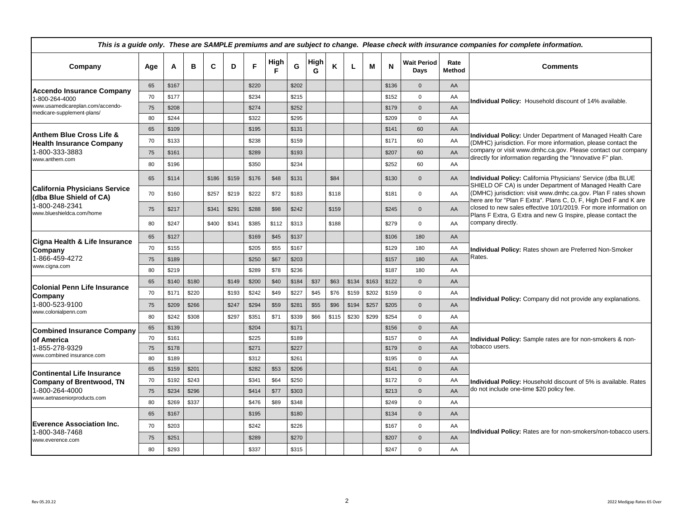|                                                                                                  |       |            | This is a guide only. These are SAMPLE premiums and are subject to change. Please check with insurance companies for complete information. |           |       |       |       |       |                            |                       |                                                                                                                                                       |  |  |  |  |
|--------------------------------------------------------------------------------------------------|-------|------------|--------------------------------------------------------------------------------------------------------------------------------------------|-----------|-------|-------|-------|-------|----------------------------|-----------------------|-------------------------------------------------------------------------------------------------------------------------------------------------------|--|--|--|--|
| C<br>A<br>в<br>D<br>Company<br>Age                                                               | F     | High<br>F. | G                                                                                                                                          | High<br>G | K     | L.    | M     | N     | <b>Wait Period</b><br>Days | Rate<br><b>Method</b> | <b>Comments</b>                                                                                                                                       |  |  |  |  |
| 65<br>\$167<br><b>Accendo Insurance Company</b>                                                  | \$220 |            | \$202                                                                                                                                      |           |       |       |       | \$136 | $\mathbf{0}$               | AA                    |                                                                                                                                                       |  |  |  |  |
| 70<br>\$177<br>1-800-264-4000                                                                    | \$234 |            | \$215                                                                                                                                      |           |       |       |       | \$152 | $\mathbf 0$                | AA                    | Individual Policy: Household discount of 14% available.                                                                                               |  |  |  |  |
| www.usamedicareplan.com/accendo-<br>75<br>\$208<br>medicare-supplement-plans/                    | \$274 |            | \$252                                                                                                                                      |           |       |       |       | \$179 | $\mathbf{0}$               | AA                    |                                                                                                                                                       |  |  |  |  |
| \$244<br>80                                                                                      | \$322 |            | \$295                                                                                                                                      |           |       |       |       | \$209 | 0                          | AA                    |                                                                                                                                                       |  |  |  |  |
| \$109<br>65<br><b>Anthem Blue Cross Life &amp;</b>                                               | \$195 |            | \$131                                                                                                                                      |           |       |       |       | \$141 | 60                         | AA                    | Individual Policy: Under Department of Managed Health Care                                                                                            |  |  |  |  |
| \$133<br>70<br><b>Health Insurance Company</b>                                                   | \$238 |            | \$159                                                                                                                                      |           |       |       |       | \$171 | 60                         | AA                    | (DMHC) jurisdiction. For more information, please contact the                                                                                         |  |  |  |  |
| 1-800-333-3883<br>75<br>\$161                                                                    | \$289 |            | \$193                                                                                                                                      |           |       |       |       | \$207 | 60                         | AA                    | company or visit www.dmhc.ca.gov. Please contact our company<br>directly for information regarding the "Innovative F" plan.                           |  |  |  |  |
| www.anthem.com<br>80<br>\$196                                                                    | \$350 |            | \$234                                                                                                                                      |           |       |       |       | \$252 | 60                         | AA                    |                                                                                                                                                       |  |  |  |  |
| \$114<br>\$159<br>65<br>\$186                                                                    | \$176 | \$48       | \$131                                                                                                                                      |           | \$84  |       |       | \$130 | $\mathbf{0}$               | AA                    | Individual Policy: California Physicians' Service (dba BLUE<br>SHIELD OF CA) is under Department of Managed Health Care                               |  |  |  |  |
| <b>California Physicians Service</b><br>70<br>\$160<br>\$257<br>\$219<br>(dba Blue Shield of CA) | \$222 | \$72       | \$183                                                                                                                                      |           | \$118 |       |       | \$181 | $\mathbf 0$                | AA                    | (DMHC) jurisdiction: visit www.dmhc.ca.gov. Plan F rates shown<br>here are for "Plan F Extra". Plans C, D, F, High Ded F and K are                    |  |  |  |  |
| 1-800-248-2341<br>\$217<br>\$341<br>\$291<br>75<br>www.blueshieldca.com/home                     | \$288 | \$98       | \$242                                                                                                                                      |           | \$159 |       |       | \$245 | $\mathbf{0}$               | AA                    | closed to new sales effective 10/1/2019. For more information on<br>Plans F Extra, G Extra and new G Inspire, please contact the<br>company directly. |  |  |  |  |
| \$341<br>80<br>\$247<br>\$400                                                                    | \$385 | \$112      | \$313                                                                                                                                      |           | \$188 |       |       | \$279 | $\mathbf 0$                | AA                    |                                                                                                                                                       |  |  |  |  |
| \$127<br>65<br>Cigna Health & Life Insurance                                                     | \$169 | \$45       | \$137                                                                                                                                      |           |       |       |       | \$106 | 180                        | AA                    | Individual Policy: Rates shown are Preferred Non-Smoker<br>Rates.                                                                                     |  |  |  |  |
| 70<br>\$155<br>Company                                                                           | \$205 | \$55       | \$167                                                                                                                                      |           |       |       |       | \$129 | 180                        | AA                    |                                                                                                                                                       |  |  |  |  |
| 1-866-459-4272<br>75<br>\$189                                                                    | \$250 | \$67       | \$203                                                                                                                                      |           |       |       |       | \$157 | 180                        | AA                    |                                                                                                                                                       |  |  |  |  |
| www.cigna.com<br>\$219<br>80                                                                     | \$289 | \$78       | \$236                                                                                                                                      |           |       |       |       | \$187 | 180                        | AA                    |                                                                                                                                                       |  |  |  |  |
| \$140<br>\$180<br>\$149<br>65<br><b>Colonial Penn Life Insurance</b>                             | \$200 | \$40       | \$184                                                                                                                                      | \$37      | \$63  | \$134 | \$163 | \$122 | $\mathbf{0}$               | AA                    |                                                                                                                                                       |  |  |  |  |
| \$171<br>\$220<br>70<br>\$193<br>Company                                                         | \$242 | \$49       | \$227                                                                                                                                      | \$45      | \$76  | \$159 | \$202 | \$159 | $\mathbf 0$                | AA                    | Individual Policy: Company did not provide any explanations.                                                                                          |  |  |  |  |
| 1-800-523-9100<br>\$209<br>\$266<br>75<br>\$247                                                  | \$294 | \$59       | \$281                                                                                                                                      | \$55      | \$96  | \$194 | \$257 | \$205 | $\mathbf{0}$               | AA                    |                                                                                                                                                       |  |  |  |  |
| www.colonialpenn.com<br>80<br>\$242<br>\$308<br>\$297                                            | \$351 | \$71       | \$339                                                                                                                                      | \$66      | \$115 | \$230 | \$299 | \$254 | 0                          | AA                    |                                                                                                                                                       |  |  |  |  |
| \$139<br>65<br><b>Combined Insurance Company</b>                                                 | \$204 |            | \$171                                                                                                                                      |           |       |       |       | \$156 | $\mathbf{0}$               | AA                    |                                                                                                                                                       |  |  |  |  |
| 70<br>\$161<br>of America                                                                        | \$225 |            | \$189                                                                                                                                      |           |       |       |       | \$157 | $\mathbf 0$                | AA                    | Individual Policy: Sample rates are for non-smokers & non-                                                                                            |  |  |  |  |
| 1-855-278-9329<br>75<br>\$178                                                                    | \$271 |            | \$227                                                                                                                                      |           |       |       |       | \$179 | $\mathbf{0}$               | AA                    | tobacco users.                                                                                                                                        |  |  |  |  |
| www.combined insurance.com<br>\$189<br>80                                                        | \$312 |            | \$261                                                                                                                                      |           |       |       |       | \$195 | $\Omega$                   | AA                    |                                                                                                                                                       |  |  |  |  |
| \$159<br>65<br>\$201<br><b>Continental Life Insurance</b>                                        | \$282 | \$53       | \$206                                                                                                                                      |           |       |       |       | \$141 | $\Omega$                   | AA                    |                                                                                                                                                       |  |  |  |  |
| \$192<br>\$243<br>70<br><b>Company of Brentwood, TN</b>                                          | \$341 | \$64       | \$250                                                                                                                                      |           |       |       |       | \$172 | $\Omega$                   | AA                    | Individual Policy: Household discount of 5% is available. Rates                                                                                       |  |  |  |  |
| 1-800-264-4000<br>\$234<br>\$296<br>75                                                           | \$414 | \$77       | \$303                                                                                                                                      |           |       |       |       | \$213 | $\Omega$                   | AA                    | do not include one-time \$20 policy fee.                                                                                                              |  |  |  |  |
| www.aetnaseniorproducts.com<br>\$269<br>\$337<br>80                                              | \$476 | \$89       | \$348                                                                                                                                      |           |       |       |       | \$249 | $\Omega$                   | AA                    |                                                                                                                                                       |  |  |  |  |
| \$167<br>65                                                                                      | \$195 |            | \$180                                                                                                                                      |           |       |       |       | \$134 | $\mathbf{0}$               | AA                    |                                                                                                                                                       |  |  |  |  |
| <b>Everence Association Inc.</b><br>70<br>\$203                                                  | \$242 |            | \$226                                                                                                                                      |           |       |       |       | \$167 | $\Omega$                   | AA                    |                                                                                                                                                       |  |  |  |  |
| 1-800-348-7468<br>75<br>\$251<br>www.everence.com                                                | \$289 |            | \$270                                                                                                                                      |           |       |       |       | \$207 | $\mathbf{0}$               | AA                    | Individual Policy: Rates are for non-smokers/non-tobacco users.                                                                                       |  |  |  |  |
| 80<br>\$293                                                                                      | \$337 |            | \$315                                                                                                                                      |           |       |       |       | \$247 | $\mathbf 0$                | AA                    |                                                                                                                                                       |  |  |  |  |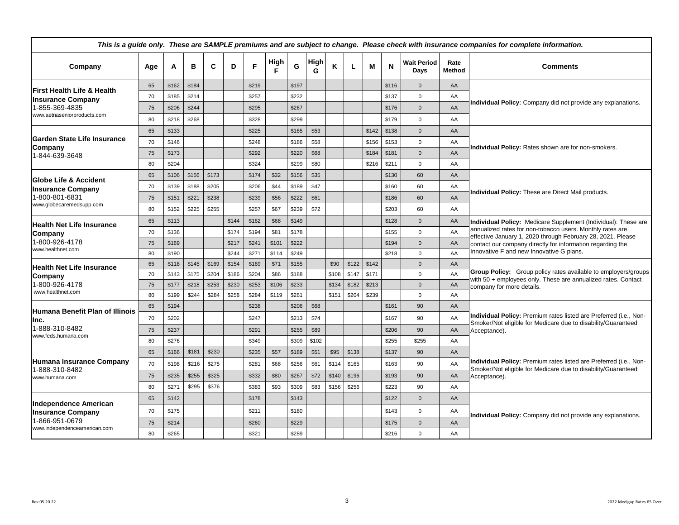|                                                          | This is a guide only. These are SAMPLE premiums and are subject to change. Please check with insurance companies for complete information. |       |       |       |       |       |            |       |           |       |       |       |       |                            |                |                                                                                                                                                                                                                                                                                                      |  |  |  |  |
|----------------------------------------------------------|--------------------------------------------------------------------------------------------------------------------------------------------|-------|-------|-------|-------|-------|------------|-------|-----------|-------|-------|-------|-------|----------------------------|----------------|------------------------------------------------------------------------------------------------------------------------------------------------------------------------------------------------------------------------------------------------------------------------------------------------------|--|--|--|--|
| Company                                                  | Age                                                                                                                                        | A     | в     | C     | D     | F     | High<br>-F | G     | High<br>G | Κ     |       | M     | N     | <b>Wait Period</b><br>Davs | Rate<br>Method | <b>Comments</b>                                                                                                                                                                                                                                                                                      |  |  |  |  |
| <b>First Health Life &amp; Health</b>                    | 65                                                                                                                                         | \$162 | \$184 |       |       | \$219 |            | \$197 |           |       |       |       | \$116 | $\Omega$                   | AA             |                                                                                                                                                                                                                                                                                                      |  |  |  |  |
| <b>Insurance Company</b>                                 | 70                                                                                                                                         | \$185 | \$214 |       |       | \$257 |            | \$232 |           |       |       |       | \$137 | $\Omega$                   | AA             | Individual Policy: Company did not provide any explanations.                                                                                                                                                                                                                                         |  |  |  |  |
| 1-855-369-4835                                           | 75                                                                                                                                         | \$206 | \$244 |       |       | \$295 |            | \$267 |           |       |       |       | \$176 | $\Omega$                   | AA             |                                                                                                                                                                                                                                                                                                      |  |  |  |  |
| www.aetnaseniorproducts.com                              | 80                                                                                                                                         | \$218 | \$268 |       |       | \$328 |            | \$299 |           |       |       |       | \$179 | $\mathbf 0$                | AA             |                                                                                                                                                                                                                                                                                                      |  |  |  |  |
|                                                          | 65                                                                                                                                         | \$133 |       |       |       | \$225 |            | \$165 | \$53      |       |       | \$142 | \$138 | $\mathbf{0}$               | AA             |                                                                                                                                                                                                                                                                                                      |  |  |  |  |
| Garden State Life Insurance<br>Company                   | 70                                                                                                                                         | \$146 |       |       |       | \$248 |            | \$186 | \$58      |       |       | \$156 | \$153 | $\mathbf 0$                | AA             | Individual Policy: Rates shown are for non-smokers.                                                                                                                                                                                                                                                  |  |  |  |  |
| 1-844-639-3648                                           | 75                                                                                                                                         | \$173 |       |       |       | \$292 |            | \$220 | \$68      |       |       | \$184 | \$181 | $\mathbf{0}$               | AA             |                                                                                                                                                                                                                                                                                                      |  |  |  |  |
|                                                          | 80                                                                                                                                         | \$204 |       |       |       | \$324 |            | \$299 | \$80      |       |       | \$216 | \$211 | $\Omega$                   | AA             |                                                                                                                                                                                                                                                                                                      |  |  |  |  |
| <b>Globe Life &amp; Accident</b>                         | 65                                                                                                                                         | \$106 | \$156 | \$173 |       | \$174 | \$32       | \$156 | \$35      |       |       |       | \$130 | 60                         | AA             |                                                                                                                                                                                                                                                                                                      |  |  |  |  |
| <b>Insurance Company</b>                                 | 70                                                                                                                                         | \$139 | \$188 | \$205 |       | \$206 | \$44       | \$189 | \$47      |       |       |       | \$160 | 60                         | AA             | Individual Policy: These are Direct Mail products.                                                                                                                                                                                                                                                   |  |  |  |  |
| 1-800-801-6831                                           | 75                                                                                                                                         | \$151 | \$221 | \$238 |       | \$239 | \$56       | \$222 | \$61      |       |       |       | \$186 | 60                         | AA             |                                                                                                                                                                                                                                                                                                      |  |  |  |  |
| www.globecaremedsupp.com                                 | 80                                                                                                                                         | \$152 | \$225 | \$255 |       | \$257 | \$67       | \$239 | \$72      |       |       | \$203 | 60    | AA                         |                |                                                                                                                                                                                                                                                                                                      |  |  |  |  |
| Health Net Life Insurance<br>Company<br>1-800-926-4178   | 65                                                                                                                                         | \$113 |       |       | \$144 | \$162 | \$68       | \$149 |           |       |       |       | \$128 | $\mathbf{0}$               | AA             | Individual Policy: Medicare Supplement (Individual): These are<br>annualized rates for non-tobacco users. Monthly rates are<br>effective January 1, 2020 through February 28, 2021. Please<br>contact our company directly for information regarding the<br>Innovative F and new Innovative G plans. |  |  |  |  |
|                                                          | 70                                                                                                                                         | \$136 |       |       | \$174 | \$194 | \$81       | \$178 |           |       |       |       | \$155 | $\Omega$                   | AA             |                                                                                                                                                                                                                                                                                                      |  |  |  |  |
|                                                          | 75                                                                                                                                         | \$169 |       |       | \$217 | \$241 | \$101      | \$222 |           |       |       |       | \$194 | $\mathbf{0}$               | AA             |                                                                                                                                                                                                                                                                                                      |  |  |  |  |
| www.healthnet.com                                        | 80                                                                                                                                         | \$190 |       |       | \$244 | \$271 | \$114      | \$249 |           |       |       |       | \$218 | $\Omega$                   | AA             |                                                                                                                                                                                                                                                                                                      |  |  |  |  |
| <b>Health Net Life Insurance</b>                         | 65                                                                                                                                         | \$118 | \$145 | \$169 | \$154 | \$169 | \$71       | \$155 |           | \$90  | \$122 | \$142 |       | $\mathbf{0}$               | AA             | Group Policy: Group policy rates available to employers/groups<br>with 50 + employees only. These are annualized rates. Contact<br>company for more details.                                                                                                                                         |  |  |  |  |
| Company                                                  | 70                                                                                                                                         | \$143 | \$175 | \$204 | \$186 | \$204 | \$86       | \$188 |           | \$108 | \$147 | \$171 |       | $\Omega$                   | AA             |                                                                                                                                                                                                                                                                                                      |  |  |  |  |
| 1-800-926-4178<br>www.healthnet.com                      | 75                                                                                                                                         | \$177 | \$218 | \$253 | \$230 | \$253 | \$106      | \$233 |           | \$134 | \$182 | \$213 |       | $\mathbf{0}$               | AA             |                                                                                                                                                                                                                                                                                                      |  |  |  |  |
|                                                          | 80                                                                                                                                         | \$199 | \$244 | \$284 | \$258 | \$284 | \$119      | \$261 |           | \$151 | \$204 | \$239 |       | $\Omega$                   | AA             |                                                                                                                                                                                                                                                                                                      |  |  |  |  |
| <b>Humana Benefit Plan of Illinois</b>                   | 65                                                                                                                                         | \$194 |       |       |       | \$238 |            | \$206 | \$68      |       |       |       | \$161 | 90                         | AA             |                                                                                                                                                                                                                                                                                                      |  |  |  |  |
| Inc.                                                     | 70                                                                                                                                         | \$202 |       |       |       | \$247 |            | \$213 | \$74      |       |       |       | \$167 | 90                         | AA             | Individual Policy: Premium rates listed are Preferred (i.e., Non-<br>Smoker/Not eligible for Medicare due to disability/Guaranteed                                                                                                                                                                   |  |  |  |  |
| 1-888-310-8482<br>www.feds.humana.com                    | 75                                                                                                                                         | \$237 |       |       |       | \$291 |            | \$255 | \$89      |       |       |       | \$206 | 90                         | AA             | Acceptance).                                                                                                                                                                                                                                                                                         |  |  |  |  |
|                                                          | 80                                                                                                                                         | \$276 |       |       |       | \$349 |            | \$309 | \$102     |       |       |       | \$255 | \$255                      | AA             |                                                                                                                                                                                                                                                                                                      |  |  |  |  |
|                                                          | 65                                                                                                                                         | \$166 | \$181 | \$230 |       | \$235 | \$57       | \$189 | \$51      | \$95  | \$138 |       | \$137 | 90                         | AA             |                                                                                                                                                                                                                                                                                                      |  |  |  |  |
| Humana Insurance Company                                 | 70                                                                                                                                         | \$198 | \$216 | \$275 |       | \$281 | \$68       | \$256 | \$61      | \$114 | \$165 |       | \$163 | 90                         | AA             | Individual Policy: Premium rates listed are Preferred (i.e., Non-<br>Smoker/Not eligible for Medicare due to disability/Guaranteed                                                                                                                                                                   |  |  |  |  |
| 1-888-310-8482<br>www.humana.com                         | 75                                                                                                                                         | \$235 | \$255 | \$325 |       | \$332 | \$80       | \$267 | \$72      | \$140 | \$196 |       | \$193 | 90                         | AA             | Acceptance).                                                                                                                                                                                                                                                                                         |  |  |  |  |
|                                                          | 80                                                                                                                                         | \$271 | \$295 | \$376 |       | \$383 | \$93       | \$309 | \$83      | \$156 | \$256 |       | \$223 | 90                         | AA             |                                                                                                                                                                                                                                                                                                      |  |  |  |  |
|                                                          | 65                                                                                                                                         | \$142 |       |       |       | \$178 |            | \$143 |           |       |       |       | \$122 | $\Omega$                   | AA             |                                                                                                                                                                                                                                                                                                      |  |  |  |  |
| <b>Independence American</b><br><b>Insurance Company</b> | 70                                                                                                                                         | \$175 |       |       |       | \$211 |            | \$180 |           |       |       |       | \$143 | $\mathbf 0$                | AA             |                                                                                                                                                                                                                                                                                                      |  |  |  |  |
| 1-866-951-0679                                           | 75                                                                                                                                         | \$214 |       |       |       | \$260 |            | \$229 |           |       |       |       | \$175 | $\mathbf{0}$               | AA             | Individual Policy: Company did not provide any explanations.                                                                                                                                                                                                                                         |  |  |  |  |
| www.independenceamerican.com                             | 80                                                                                                                                         | \$265 |       |       |       | \$321 |            | \$289 |           |       |       |       | \$216 | $\mathbf 0$                | AA             |                                                                                                                                                                                                                                                                                                      |  |  |  |  |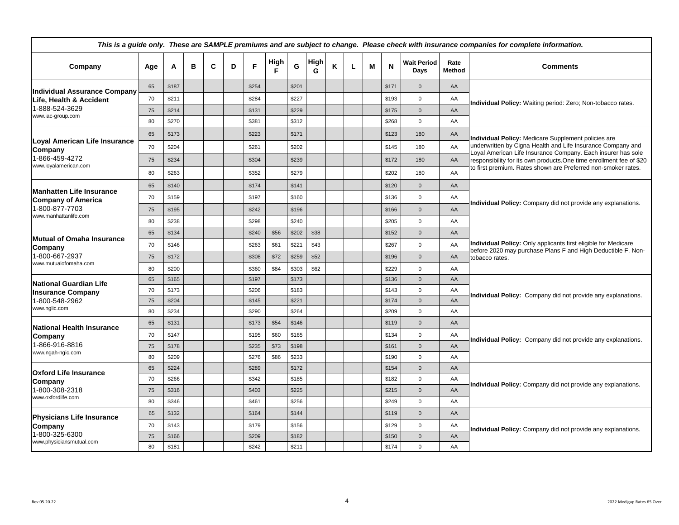| This is a guide only. These are SAMPLE premiums and are subject to change. Please check with insurance companies for complete information. |          |                |   |   |   |                |           |                |           |   |   |   |                |                            |                |                                                                                                                                                  |  |  |  |  |
|--------------------------------------------------------------------------------------------------------------------------------------------|----------|----------------|---|---|---|----------------|-----------|----------------|-----------|---|---|---|----------------|----------------------------|----------------|--------------------------------------------------------------------------------------------------------------------------------------------------|--|--|--|--|
| Company                                                                                                                                    | Age      | Α              | в | C | D | F              | High<br>F | G              | High<br>G | Κ | L | м | N              | <b>Wait Period</b><br>Days | Rate<br>Method | <b>Comments</b>                                                                                                                                  |  |  |  |  |
| <b>Individual Assurance Company</b>                                                                                                        | 65       | \$187          |   |   |   | \$254          |           | \$201          |           |   |   |   | \$171          | $\mathbf{0}$               | AA             |                                                                                                                                                  |  |  |  |  |
| Life, Health & Accident                                                                                                                    | 70       | \$211          |   |   |   | \$284          |           | \$227          |           |   |   |   | \$193          | $\mathbf 0$                | AA             | Individual Policy: Waiting period: Zero; Non-tobacco rates.                                                                                      |  |  |  |  |
| 1-888-524-3629<br>www.iac-group.com                                                                                                        | 75       | \$214          |   |   |   | \$131          |           | \$229          |           |   |   |   | \$175          | $\Omega$                   | AA             |                                                                                                                                                  |  |  |  |  |
|                                                                                                                                            | 80       | \$270          |   |   |   | \$381          |           | \$312          |           |   |   |   | \$268          | $\mathbf 0$                | AA             |                                                                                                                                                  |  |  |  |  |
|                                                                                                                                            | 65       | \$173          |   |   |   | \$223          |           | \$171          |           |   |   |   | \$123          | 180                        | AA             | Individual Policy: Medicare Supplement policies are                                                                                              |  |  |  |  |
| Loyal American Life Insurance<br>Company                                                                                                   | 70       | \$204          |   |   |   | \$261          |           | \$202          |           |   |   |   | \$145          | 180                        | AA             | underwritten by Cigna Health and Life Insurance Company and                                                                                      |  |  |  |  |
| 1-866-459-4272                                                                                                                             | 75       | \$234          |   |   |   | \$304          |           | \$239          |           |   |   |   | \$172          | 180                        | AA             | Loyal American Life Insurance Company. Each insurer has sole<br>responsibility for its own products. One time enrollment fee of \$20             |  |  |  |  |
| www.loyalamerican.com                                                                                                                      | 80       | \$263          |   |   |   | \$352          |           | \$279          |           |   |   |   | \$202          | 180                        | AA             | to first premium. Rates shown are Preferred non-smoker rates.                                                                                    |  |  |  |  |
|                                                                                                                                            | 65       | \$140          |   |   |   | \$174          |           | \$141          |           |   |   |   | \$120          | $\mathbf{0}$               | AA             |                                                                                                                                                  |  |  |  |  |
| Manhatten Life Insurance<br><b>Company of America</b>                                                                                      | 70       | \$159          |   |   |   | \$197          |           | \$160          |           |   |   |   | \$136          | $\mathbf 0$                | AA             | Individual Policy: Company did not provide any explanations.                                                                                     |  |  |  |  |
| 1-800-877-7703                                                                                                                             | 75       | \$195          |   |   |   | \$242          |           | \$196          |           |   |   |   | \$166          | $\mathbf{0}$               | AA             |                                                                                                                                                  |  |  |  |  |
| www.manhattanlife.com                                                                                                                      | 80       | \$238          |   |   |   | \$298          |           | \$240          |           |   |   |   | \$205          | $\mathbf 0$                | AA             |                                                                                                                                                  |  |  |  |  |
|                                                                                                                                            | 65       | \$134          |   |   |   | \$240          | \$56      | \$202          | \$38      |   |   |   | \$152          | $\mathbf{0}$               | AA             |                                                                                                                                                  |  |  |  |  |
| lMutual of Omaha Insurance<br> Company                                                                                                     | 70       | \$146          |   |   |   | \$263          | \$61      | \$221          | \$43      |   |   |   | \$267          | $\mathbf 0$                | AA             | Individual Policy: Only applicants first eligible for Medicare<br>before 2020 may purchase Plans F and High Deductible F. Non-<br>tobacco rates. |  |  |  |  |
| 1-800-667-2937                                                                                                                             | 75       | \$172          |   |   |   | \$308          | \$72      | \$259          | \$52      |   |   |   | \$196          | $\mathbf{0}$               | AA             |                                                                                                                                                  |  |  |  |  |
| www.mutualofomaha.com                                                                                                                      | 80       | \$200          |   |   |   | \$360          | \$84      | \$303          | \$62      |   |   |   | \$229          | $\mathbf 0$                | AA             |                                                                                                                                                  |  |  |  |  |
| İNational Guardian Life                                                                                                                    | 65       | \$165          |   |   |   | \$197          |           | \$173          |           |   |   |   | \$136          | $\mathbf{0}$               | AA             |                                                                                                                                                  |  |  |  |  |
| <b>Insurance Company</b>                                                                                                                   | 70       | \$173          |   |   |   | \$206          |           | \$183          |           |   |   |   | \$143          | $\mathbf 0$                | AA             | Individual Policy: Company did not provide any explanations.                                                                                     |  |  |  |  |
| 1-800-548-2962                                                                                                                             | 75       | \$204          |   |   |   | \$145          |           | \$221          |           |   |   |   | \$174          | $\mathbf{0}$               | AA             |                                                                                                                                                  |  |  |  |  |
| www.nglic.com                                                                                                                              | 80       | \$234          |   |   |   | \$290          |           | \$264          |           |   |   |   | \$209          | $\Omega$                   | AA             |                                                                                                                                                  |  |  |  |  |
| lNational Health Insurance                                                                                                                 | 65       | \$131          |   |   |   | \$173          | \$54      | \$146          |           |   |   |   | \$119          | $\mathbf{0}$               | AA             |                                                                                                                                                  |  |  |  |  |
| Company                                                                                                                                    | 70       | \$147          |   |   |   | \$195          | \$60      | \$165          |           |   |   |   | \$134          | $\mathbf 0$                | AA             | Individual Policy: Company did not provide any explanations.                                                                                     |  |  |  |  |
| 1-866-916-8816<br>www.ngah-ngic.com                                                                                                        | 75       | \$178          |   |   |   | \$235          | \$73      | \$198          |           |   |   |   | \$161          | $\mathbf{0}$               | AA             |                                                                                                                                                  |  |  |  |  |
|                                                                                                                                            | 80       | \$209          |   |   |   | \$276          | \$86      | \$233          |           |   |   |   | \$190          | $\mathbf 0$                | AA             |                                                                                                                                                  |  |  |  |  |
| <b>IOxford Life Insurance</b>                                                                                                              | 65       | \$224          |   |   |   | \$289          |           | \$172          |           |   |   |   | \$154          | $\mathbf{0}$               | AA             |                                                                                                                                                  |  |  |  |  |
| Company                                                                                                                                    | 70       | \$266          |   |   |   | \$342          |           | \$185          |           |   |   |   | \$182          | $\mathbf 0$                | AA             | Individual Policy: Company did not provide any explanations.                                                                                     |  |  |  |  |
| 1-800-308-2318<br>www.oxfordlife.com                                                                                                       | 75<br>80 | \$316<br>\$346 |   |   |   | \$403<br>\$461 |           | \$225<br>\$256 |           |   |   |   | \$215<br>\$249 | $\mathbf 0$<br>$\mathbf 0$ | AA<br>AA       |                                                                                                                                                  |  |  |  |  |
|                                                                                                                                            | 65       | \$132          |   |   |   | \$164          |           | \$144          |           |   |   |   | \$119          | $\mathbf{0}$               | AA             |                                                                                                                                                  |  |  |  |  |
| <b>Physicians Life Insurance</b>                                                                                                           | 70       | \$143          |   |   |   | \$179          |           | \$156          |           |   |   |   | \$129          | $\mathbf 0$                | AA             |                                                                                                                                                  |  |  |  |  |
| Company<br>1-800-325-6300                                                                                                                  | 75       | \$166          |   |   |   | \$209          |           | \$182          |           |   |   |   | \$150          | $\Omega$                   | AA             | Individual Policy: Company did not provide any explanations.                                                                                     |  |  |  |  |
| www.physiciansmutual.com                                                                                                                   | 80       | \$181          |   |   |   | \$242          |           | \$211          |           |   |   |   | \$174          | $\mathbf 0$                | AA             |                                                                                                                                                  |  |  |  |  |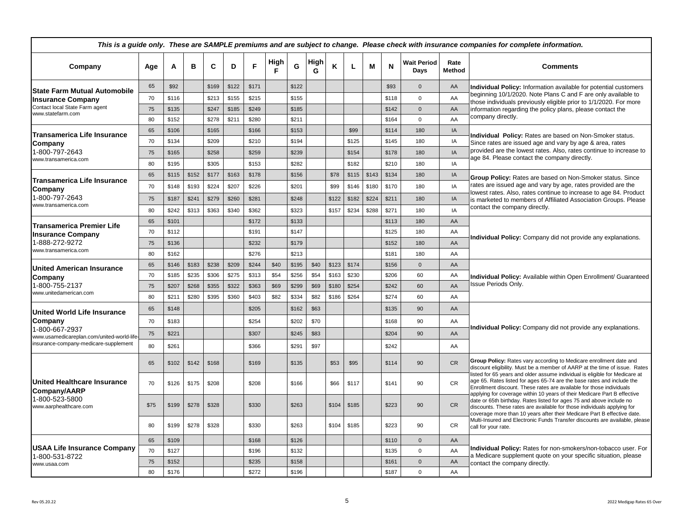| This is a guide only. These are SAMPLE premiums and are subject to change. Please check with insurance companies for complete information. |      |       |       |       |       |       |           |       |           |       |       |       |       |                            |                |                                                                                                                                                                                                                                                                                                           |  |  |  |  |
|--------------------------------------------------------------------------------------------------------------------------------------------|------|-------|-------|-------|-------|-------|-----------|-------|-----------|-------|-------|-------|-------|----------------------------|----------------|-----------------------------------------------------------------------------------------------------------------------------------------------------------------------------------------------------------------------------------------------------------------------------------------------------------|--|--|--|--|
| Company                                                                                                                                    | Age  | A     | в     | C     | D     | F     | High<br>F | G     | High<br>G | К     | L     | м     | N     | <b>Wait Period</b><br>Days | Rate<br>Method | <b>Comments</b>                                                                                                                                                                                                                                                                                           |  |  |  |  |
| <b>State Farm Mutual Automobile</b>                                                                                                        | 65   | \$92  |       | \$169 | \$122 | \$171 |           | \$122 |           |       |       |       | \$93  | $\mathbf{0}$               | AA             | Individual Policy: Information available for potential customers                                                                                                                                                                                                                                          |  |  |  |  |
| <b>Insurance Company</b>                                                                                                                   | 70   | \$116 |       | \$213 | \$155 | \$215 |           | \$155 |           |       |       |       | \$118 | $\mathbf 0$                | AA             | beginning 10/1/2020. Note Plans C and F are only available to<br>those individuals previously eligible prior to 1/1/2020. For more                                                                                                                                                                        |  |  |  |  |
| Contact local State Farm agent<br>www.statefarm.com                                                                                        | 75   | \$135 |       | \$247 | \$185 | \$249 |           | \$185 |           |       |       |       | \$142 | $\mathbf{0}$               | AA             | information regarding the policy plans, please contact the                                                                                                                                                                                                                                                |  |  |  |  |
|                                                                                                                                            | 80   | \$152 |       | \$278 | \$211 | \$280 |           | \$211 |           |       |       |       | \$164 | $\mathbf 0$                | AA             | company directly.                                                                                                                                                                                                                                                                                         |  |  |  |  |
| <b>Transamerica Life Insurance</b>                                                                                                         | 65   | \$106 |       | \$165 |       | \$166 |           | \$153 |           |       | \$99  |       | \$114 | 180                        | IA             | Individual Policy: Rates are based on Non-Smoker status.                                                                                                                                                                                                                                                  |  |  |  |  |
| Company                                                                                                                                    | 70   | \$134 |       | \$209 |       | \$210 |           | \$194 |           |       | \$125 |       | \$145 | 180                        | IA             | Since rates are issued age and vary by age & area, rates                                                                                                                                                                                                                                                  |  |  |  |  |
| 1-800-797-2643                                                                                                                             | 75   | \$165 |       | \$258 |       | \$259 |           | \$239 |           |       | \$154 |       | \$178 | 180                        | IA             | provided are the lowest rates. Also, rates continue to increase to                                                                                                                                                                                                                                        |  |  |  |  |
| www.transamerica.com                                                                                                                       | 80   | \$195 |       | \$305 |       | \$153 |           | \$282 |           |       | \$182 |       | \$210 | 180                        | IA             | age 84. Please contact the company directly.                                                                                                                                                                                                                                                              |  |  |  |  |
|                                                                                                                                            | 65   | \$115 | \$152 | \$177 | \$163 | \$178 |           | \$156 |           | \$78  | \$115 | \$143 | \$134 | 180                        | IA             | Group Policy: Rates are based on Non-Smoker status. Since                                                                                                                                                                                                                                                 |  |  |  |  |
| lTransamerica Life Insurance<br>Company                                                                                                    | 70   | \$148 | \$193 | \$224 | \$207 | \$226 |           | \$201 |           | \$99  | \$146 | \$180 | \$170 | 180                        | IA             | rates are issued age and vary by age, rates provided are the                                                                                                                                                                                                                                              |  |  |  |  |
| 1-800-797-2643                                                                                                                             | 75   | \$187 | \$241 | \$279 | \$260 | \$281 |           | \$248 |           | \$122 | \$182 | \$224 | \$211 | 180                        | IA             | lowest rates. Also, rates continue to increase to age 84. Product<br>is marketed to members of Affiliated Association Groups. Please                                                                                                                                                                      |  |  |  |  |
| www.transamerica.com                                                                                                                       | 80   | \$242 | \$313 | \$363 | \$340 | \$362 |           | \$323 |           | \$157 | \$234 | \$288 | \$271 | 180                        | IA             | contact the company directly.                                                                                                                                                                                                                                                                             |  |  |  |  |
|                                                                                                                                            | 65   | \$101 |       |       |       | \$172 |           | \$133 |           |       |       |       | \$113 | 180                        | AA             | Individual Policy: Company did not provide any explanations.                                                                                                                                                                                                                                              |  |  |  |  |
| <b>Transamerica Premier Life</b><br><b>Insurance Company</b><br>1-888-272-9272<br>www.transamerica.com                                     | 70   | \$112 |       |       |       | \$191 |           | \$147 |           |       |       |       | \$125 | 180                        | AA             |                                                                                                                                                                                                                                                                                                           |  |  |  |  |
|                                                                                                                                            | 75   | \$136 |       |       |       | \$232 |           | \$179 |           |       |       |       | \$152 | 180                        | AA             |                                                                                                                                                                                                                                                                                                           |  |  |  |  |
|                                                                                                                                            | 80   | \$162 |       |       |       | \$276 |           | \$213 |           |       |       |       | \$181 | 180                        | AA             |                                                                                                                                                                                                                                                                                                           |  |  |  |  |
| <b>United American Insurance</b>                                                                                                           | 65   | \$146 | \$183 | \$238 | \$209 | \$244 | \$40      | \$195 | \$40      | \$123 | \$174 |       | \$156 | $\mathbf{0}$               | AA             |                                                                                                                                                                                                                                                                                                           |  |  |  |  |
| Company                                                                                                                                    | 70   | \$185 | \$235 | \$306 | \$275 | \$313 | \$54      | \$256 | \$54      | \$163 | \$230 |       | \$206 | 60                         | AA             | Individual Policy: Available within Open Enrollment/ Guaranteed<br>Issue Periods Only.                                                                                                                                                                                                                    |  |  |  |  |
| 1-800-755-2137                                                                                                                             | 75   | \$207 | \$268 | \$355 | \$322 | \$363 | \$69      | \$299 | \$69      | \$180 | \$254 |       | \$242 | 60                         | AA             |                                                                                                                                                                                                                                                                                                           |  |  |  |  |
| www.unitedamerican.com                                                                                                                     | 80   | \$211 | \$280 | \$395 | \$360 | \$403 | \$82      | \$334 | \$82      | \$186 | \$264 |       | \$274 | 60                         | AA             |                                                                                                                                                                                                                                                                                                           |  |  |  |  |
| <b>United World Life Insurance</b>                                                                                                         | 65   | \$148 |       |       |       | \$205 |           | \$162 | \$63      |       |       |       | \$135 | 90                         | AA             |                                                                                                                                                                                                                                                                                                           |  |  |  |  |
| Company                                                                                                                                    | 70   | \$183 |       |       |       | \$254 |           | \$202 | \$70      |       |       |       | \$168 | 90                         | AA             |                                                                                                                                                                                                                                                                                                           |  |  |  |  |
| 1-800-667-2937<br>www.usamedicareplan.com/united-world-life                                                                                | 75   | \$221 |       |       |       | \$307 |           | \$245 | \$83      |       |       |       | \$204 | 90                         | AA             | Individual Policy: Company did not provide any explanations.                                                                                                                                                                                                                                              |  |  |  |  |
| insurance-company-medicare-supplement                                                                                                      | 80   | \$261 |       |       |       | \$366 |           | \$291 | \$97      |       |       |       | \$242 |                            | AA             |                                                                                                                                                                                                                                                                                                           |  |  |  |  |
|                                                                                                                                            | 65   | \$102 | \$142 | \$168 |       | \$169 |           | \$135 |           | \$53  | \$95  |       | \$114 | 90                         | CR             | Group Policy: Rates vary according to Medicare enrollment date and<br>discount eligibility. Must be a member of AARP at the time of issue. Rates                                                                                                                                                          |  |  |  |  |
| <b>United Healthcare Insurance</b><br>Company/AARP                                                                                         | 70   | \$126 | \$175 | \$208 |       | \$208 |           | \$166 |           | \$66  | \$117 |       | \$141 | 90                         | <b>CR</b>      | listed for 65 years and older assume individual is eligible for Medicare at<br>age 65. Rates listed for ages 65-74 are the base rates and include the<br>Enrollment discount. These rates are available for those individuals<br>applying for coverage within 10 years of their Medicare Part B effective |  |  |  |  |
| 1-800-523-5800<br>www.aarphealthcare.com                                                                                                   | \$75 | \$199 | \$278 | \$328 |       | \$330 |           | \$263 |           | \$104 | \$185 |       | \$223 | 90                         | <b>CR</b>      | date or 65th birthday. Rates listed for ages 75 and above include no<br>discounts. These rates are available for those individuals applying for<br>coverage more than 10 years after their Medicare Part B effective date.                                                                                |  |  |  |  |
|                                                                                                                                            | 80   | \$199 | \$278 | \$328 |       | \$330 |           | \$263 |           | \$104 | \$185 |       | \$223 | 90                         | CR             | Multi-Insured and Electronic Funds Transfer discounts are available, please<br>call for your rate.                                                                                                                                                                                                        |  |  |  |  |
|                                                                                                                                            | 65   | \$109 |       |       |       | \$168 |           | \$126 |           |       |       |       | \$110 | $\mathbf 0$                | AA             |                                                                                                                                                                                                                                                                                                           |  |  |  |  |
| <b>USAA Life Insurance Company</b><br>1-800-531-8722                                                                                       | 70   | \$127 |       |       |       | \$196 |           | \$132 |           |       |       |       | \$135 | $\mathbf 0$                | AA             | Individual Policy: Rates for non-smokers/non-tobacco user. For                                                                                                                                                                                                                                            |  |  |  |  |
| www.usaa.com                                                                                                                               | 75   | \$152 |       |       |       | \$235 |           | \$158 |           |       |       |       | \$161 | $\mathbf{0}$               | AA             | a Medicare supplement quote on your specific situation, please<br>contact the company directly.                                                                                                                                                                                                           |  |  |  |  |
|                                                                                                                                            | 80   | \$176 |       |       |       | \$272 |           | \$196 |           |       |       |       | \$187 | $\mathbf 0$                | AA             |                                                                                                                                                                                                                                                                                                           |  |  |  |  |